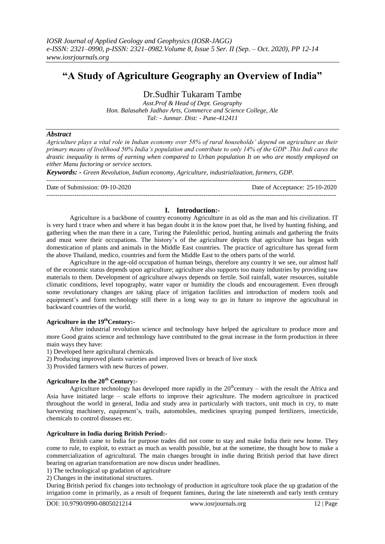# **"A Study of Agriculture Geography an Overview of India"**

Dr.Sudhir Tukaram Tambe

*Asst.Prof & Head of Dept. Geography Hon. Balasaheb Jadhav Arts, Commerce and Science College, Ale Tal: - Junnar. Dist: - Pune-412411*

#### *Abstract*

*Agriculture plays a vital role in Indian economy over 58% of rural households' depend on agriculture as their primary means of livelihood 50% India's population and contribute to only 14% of the GDP .This Indi cares the drastic inequality is terms of earning when compared to Urban population It on who are mostly employed on either Manu factoring or service sectors.*

*Keywords: - Green Revolution, Indian economy, Agriculture, industrialization, farmers, GDP.*  ---------------------------------------------------------------------------------------------------------------------------------------

Date of Submission: 09-10-2020 Date of Acceptance: 25-10-2020

## ---------------------------------------------------------------------------------------------------------------------------------------

#### **I. Introduction:-**

Agriculture is a backbone of country economy Agriculture in as old as the man and his civilization. IT is very hard t trace when and where it has began doubt it in the know poet that, he lived by hunting fishing, and gathering when the man there in a care, Turing the Paleolithic period, hunting animals and gathering the fruits and must were their occupations. The history's of the agriculture depicts that agriculture has began with domestication of plants and animals in the Middle East countries. The practice of agriculture has spread form the above Thailand, medico, countries and form the Middle East to the others parts of the world.

Agriculture in the age-old occupation of human beings, therefore any country it we see, our almost half of the economic status depends upon agriculture; agriculture also supports too many industries by providing raw materials to them. Development of agriculture always depends on fertile. Soil rainfall, water resources, suitable climatic conditions, level topography, water vapor or humidity the clouds and encouragement. Even through some revolutionary changes are taking place of irrigation facilities and introduction of modern tools and equipment's and form technology still there in a long way to go in future to improve the agricultural in backward countries of the world.

### **Agriculture in the 19thCentury:-**

After industrial revolution science and technology have helped the agriculture to produce more and more Good grains science and technology have contributed to the great increase in the form production in three main ways they have:

1) Developed here agricultural chemicals.

2) Producing improved plants varieties and improved lives or breach of live stock

3) Provided farmers with new 8urces of power.

#### **Agriculture In the 20th Century:-**

Agriculture technology has developed more rapidly in the  $20<sup>th</sup>$ century – with the result the Africa and Asia have initiated large – scale efforts to improve their agriculture. The modern agriculture in practiced throughout the world in general, India and study area in particularly with tractors, unit much in cry, to mate harvesting machinery, equipment's, trails, automobiles, medicines spraying pumped fertilizers, insecticide, chemicals to control diseases etc.

#### **Agriculture in India during British Period:-**

British came to India for purpose trades did not come to stay and make India their new home. They come to rule, to exploit, to extract as much as wealth possible, but at the sometime, the thought how to make a commercialization of agricultural. The main changes brought in indie during British period that have direct bearing on agrarian transformation are now discus under headlines.

1) The technological up gradation of agriculture

2) Changes in the institutional structures.

During British period fix changes into technology of production in agriculture took place the up gradation of the irrigation come in primarily, as a result of frequent famines, during the late nineteenth and early tenth century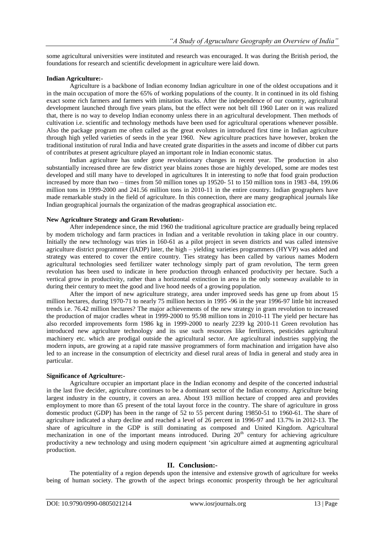some agricultural universities were instituted and research was encouraged. It was during the British period, the foundations for research and scientific development in agriculture were laid down.

#### **Indian Agriculture:-**

Agriculture is a backbone of Indian economy Indian agriculture in one of the oldest occupations and it in the main occupation of more the 65% of working populations of the county. It in continued in its old fishing exact some rich farmers and farmers with imitation tracks. After the independence of our country, agricultural development launched through five years plans, but the effect were not belt till 1960 Later on it was realized that, there is no way to develop Indian economy unless there in an agricultural development. Then methods of cultivation i.e. scientific and technology methods have been used for agricultural operations whenever possible. Also the package program me often called as the great evolutes in introduced first time in Indian agriculture through high yelled varieties of seeds in the year 1960. New agriculture practices have however, broken the traditional institution of rural India and have created grate disparities in the assets and income of dibber cut parts of contributes at present agriculture played an important role in Indian economic status.

Indian agriculture has under gone revolutionary changes in recent year. The production in also substantially increased three are few district year blains zones those are highly developed, some are modes test developed and still many have to developed in agricultures It in interesting to no9e that food grain production increased by more than two – times from 50 million tones up 19520- 51 to 150 million tons in 1983 -84, 199.06 million tons in 1999-2000 and 241.56 million tons in 2010-11 in the entire country. Indian geographers have made remarkable study in the field of agriculture. In this connection, there are many geographical journals like Indian geographical journals the organization of the madras geographical association etc.

#### **New Agriculture Strategy and Gram Revolution:-**

After independence since, the mid 1960 the traditional agriculture practice are gradually being replaced by modem trichology and farm practices in Indian and a veritable revolution in taking place in our country. Initially the new technology was tries in 160-61 as a pilot project in seven districts and was called intensive agriculture district programmer (IADP) later, the high – yielding varieties programmers (HYVP) was added and strategy was entered to cover the entire country. Ties strategy has been called by various names Modern agricultural technologies seed fertilizer water technology simply part of gram revolution, The term green revolution has been used to indicate in here production through enhanced productivity per hectare. Such a vertical grow in productivity, rather than a horizontal extinction in area in the only someway available to in during their century to meet the good and live hood needs of a growing population.

After the import of new agriculture strategy, area under improved seeds has gene up from about 15 million hectares, during 1970-71 to nearly 75 million hectors in 1995 -96 in the year 1996-97 little bit increased trends i.e. 76.42 million hectares? The major achievements of the new strategy in gram revolution to increased the production of major cradles wheat in 1999-2000 to 95.98 million tons in 2010-11 The yield per hectare has also recorded improvements form 1986 kg in 1999-2000 to nearly 2239 kg 2010-11 Green revolution has introduced new agriculture technology and its use such resources like fertilizers, pesticides agricultural machinery etc. which are prodigal outside the agricultural sector. Are agricultural industries supplying the modern inputs, are growing at a rapid rate massive programmers of form machination and irrigation have also led to an increase in the consumption of electricity and diesel rural areas of India in general and study area in particular.

#### **Significance of Agriculture:-**

Agriculture occupier an important place in the Indian economy and despite of the concerted industrial in the last five decider, agriculture continues to be a dominant sector of the Indian economy. Agriculture being largest industry in the country, it covers an area. About 193 million hectare of cropped area and provides employment to more than 65 present of the total layout force in the country. The share of agriculture in gross domestic product (GDP) has been in the range of 52 to 55 percent during 19850-51 to 1960-61. The share of agriculture indicated a sharp decline and reached a level of 26 percent in 1996-97 and 13.7% in 2012-13. The share of agriculture in the GDP is still dominating as composed and United Kingdom. Agricultural mechanization in one of the important means introduced. During 20<sup>th</sup> century for achieving agriculture productivity a new technology and using modern equipment "sin agriculture aimed at augmenting agricultural production.

#### **II. Conclusion:-**

The potentiality of a region depends upon the intensive and extensive growth of agriculture for weeks being of human society. The growth of the aspect brings economic prosperity through be her agricultural